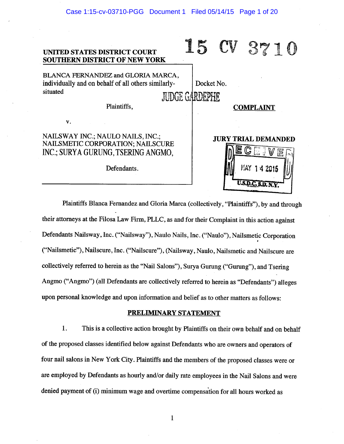

Plaintiffs Blanca Fernandez and Gloria Marca (collectively, "Plaintiffs"), by and through their attorneys at the Filosa Law Firm, PLLC, as and for their Complaint in this action against Defendants Nailsway, Inc. ("Nailsway"), Naulo Nails, Inc. ("Naulo"), Nailsmetic Corporation ("Nailsmetic"), Nailscure, Inc. ("Nailscure"), (Nailsway, Naulo, Nailsmetic and Nailscure are collectively referred to herein as the "Nail Salons"), Surya Gurung ("Gurung"), and Tsering Angmo ("Angmo") (all Defendants are collectively referred to herein as "Defendants") alleges upon personal knowledge and upon information and belief as to other matters as follows:

### **PRELIMINARY STATEMENT**

1. This is a collective action brought by Plaintiffs on their own behalf and on behalf of the proposed classes identified below against Defendants who are owners and operators of four nail salons in New York City. Plaintiffs and the members of the proposed classes were or are employed by Defendants as hourly and/or daily rate employees in the Nail Salons and were denied payment of (i) minimum wage and overtime compensation for all hours worked as

 $\mathbf{1}$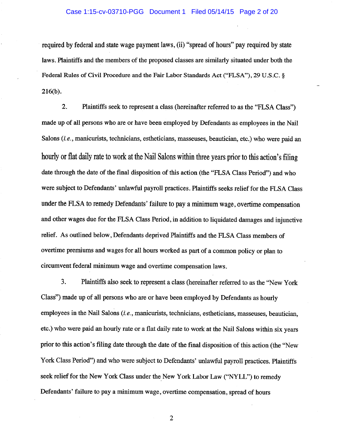#### Case 1:15-cv-03710-PGG Document 1 Filed 05/14/15 Page 2 of 20

required by federal and state wage payment laws, (ii) "spread of hours" pay required by state laws. Plaintiffs and the members of the proposed classes are similarly situated under both the Federal Rules of Civil Procedure and the Fair Labor Standards Act ("FLSA"), 29 U.S.C. §  $216(b).$ 

 $2.$ Plaintiffs seek to represent a class (hereinafter referred to as the "FLSA Class") made up of all persons who are or have been employed by Defendants as employees in the Nail Salons (i.e., manicurists, technicians, estheticians, masseuses, beautician, etc.) who were paid an hourly or flat daily rate to work at the Nail Salons within three years prior to this action's filing date through the date of the final disposition of this action (the "FLSA Class Period") and who were subject to Defendants' unlawful payroll practices. Plaintiffs seeks relief for the FLSA Class under the FLSA to remedy Defendants' failure to pay a minimum wage, overtime compensation and other wages due for the FLSA Class Period, in addition to liquidated damages and injunctive relief. As outlined below, Defendants deprived Plaintiffs and the FLSA Class members of overtime premiums and wages for all hours worked as part of a common policy or plan to circumvent federal minimum wage and overtime compensation laws.

 $3.$ Plaintiffs also seek to represent a class (hereinafter referred to as the "New York Class") made up of all persons who are or have been employed by Defendants as hourly employees in the Nail Salons (i.e., manicurists, technicians, estheticians, masseuses, beautician, etc.) who were paid an hourly rate or a flat daily rate to work at the Nail Salons within six years prior to this action's filing date through the date of the final disposition of this action (the "New York Class Period") and who were subject to Defendants' unlawful payroll practices. Plaintiffs seek relief for the New York Class under the New York Labor Law ("NYLL") to remedy Defendants' failure to pay a minimum wage, overtime compensation, spread of hours

 $\overline{2}$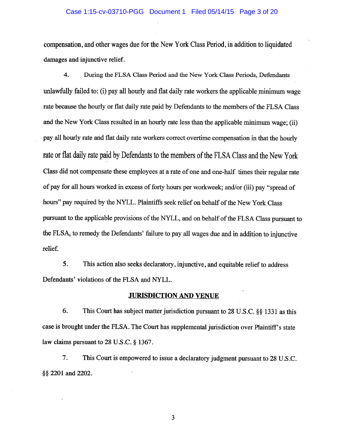#### Case 1:15-cv-03710-PGG Document 1 Filed 05/14/15 Page 3 of 20

compensation, and other wages due for the New York Class Period, in addition to liquidated damages and injunctive relief.

 $\boldsymbol{4}$ . During the FLSA Class Period and the New York Class Periods, Defendants unlawfully failed to: (i) pay all hourly and flat daily rate workers the applicable minimum wage rate because the hourly or flat daily rate paid by Defendants to the members of the FLSA Class and the New York Class resulted in an hourly rate less than the applicable minimum wage; (ii) pay all hourly rate and flat daily rate workers correct overtime compensation in that the hourly rate or flat daily rate paid by Defendants to the members of the FLSA Class and the New York Class did not compensate these employees at a rate of one and one-half times their regular rate of pay for all hours worked in excess of forty hours per workweek; and/or (iii) pay "spread of hours" pay required by the NYLL. Plaintiffs seek relief on behalf of the New York Class pursuant to the applicable provisions of the NYLL, and on behalf of the FLSA Class pursuant to the FLSA, to remedy the Defendants' failure to pay all wages due and in addition to injunctive relief.

5. This action also seeks declaratory, injunctive, and equitable relief to address Defendants' violations of the FLSA and NYLL.

### **JURISDICTION AND VENUE**

6. This Court has subject matter jurisdiction pursuant to 28 U.S.C. §§ 1331 as this case is brought under the FLSA. The Court has supplemental jurisdiction over Plaintiff's state law claims pursuant to 28 U.S.C. § 1367.

7. This Court is empowered to issue a declaratory judgment pursuant to 28 U.S.C. §§ 2201 and 2202.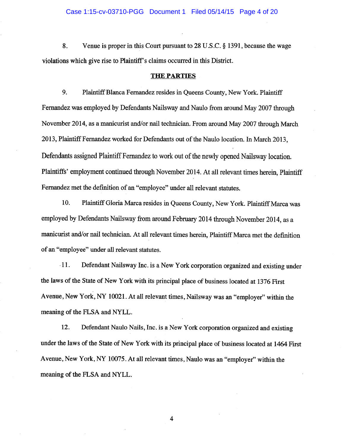8. Venue is proper in this Court pursuant to 28 U.S.C.  $\S$  1391, because the wage violations which give rise to Plaintiff's claims occurred in this District.

### **THE PARTIES**

9. Plaintiff Blanca Fernandez resides in Queens County, New York. Plaintiff Fernandez was employed by Defendants Nailsway and Naulo from around May 2007 through November 2014, as a manicurist and/or nail technician. From around May 2007 through March 2013, Plaintiff Fernandez worked for Defendants out of the Naulo location. In March 2013, Defendants assigned Plaintiff Fernandez to work out of the newly opened Nailsway location. Plaintiffs' employment continued through November 2014. At all relevant times herein, Plaintiff Fernandez met the definition of an "employee" under all relevant statutes.

10. Plaintiff Gloria Marca resides in Queens County, New York. Plaintiff Marca was employed by Defendants Nailsway from around February 2014 through November 2014, as a manicurist and/or nail technician. At all relevant times herein, Plaintiff Marca met the definition of an "employee" under all relevant statutes.

 $-11.$ Defendant Nailsway Inc. is a New York corporation organized and existing under the laws of the State of New York with its principal place of business located at 1376 First Avenue, New York, NY 10021. At all relevant times, Nailsway was an "employer" within the meaning of the FLSA and NYLL.

12. Defendant Naulo Nails, Inc. is a New York corporation organized and existing under the laws of the State of New York with its principal place of business located at 1464 First Avenue, New York, NY 10075. At all relevant times, Naulo was an "employer" within the meaning of the FLSA and NYLL.

 $\overline{\mathbf{4}}$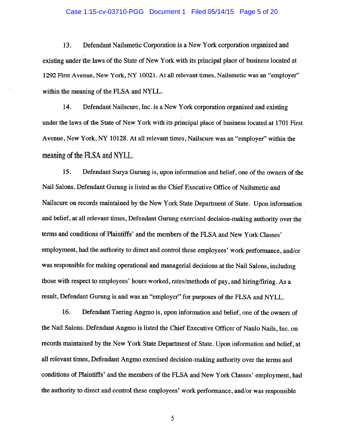#### Case 1:15-cv-03710-PGG Document 1 Filed 05/14/15 Page 5 of 20

13. Defendant Nailsmetic Corporation is a New York corporation organized and existing under the laws of the State of New York with its principal place of business located at 1292 First Avenue, New York, NY 10021. At all relevant times, Nailsmetic was an "employer" within the meaning of the FLSA and NYLL.

14. Defendant Nailscure, Inc. is a New York corporation organized and existing under the laws of the State of New York with its principal place of business located at 1701 First Avenue, New York, NY 10128. At all relevant times, Nailscure was an "employer" within the meaning of the FLSA and NYLL.

15. Defendant Surya Gurung is, upon information and belief, one of the owners of the Nail Salons. Defendant Gurung is listed as the Chief Executive Office of Nailsmetic and Nailscure on records maintained by the New York State Department of State. Upon information and belief, at all relevant times, Defendant Gurung exercised decision-making authority over the terms and conditions of Plaintiffs' and the members of the FLSA and New York Classes' employment, had the authority to direct and control these employees' work performance, and/or was responsible for making operational and managerial decisions at the Nail Salons, including those with respect to employees' hours worked, rates/methods of pay, and hiring/firing. As a result, Defendant Gurung is and was an "employer" for purposes of the FLSA and NYLL.

16. Defendant Tsering Angmo is, upon information and belief, one of the owners of the Nail Salons. Defendant Angmo is listed the Chief Executive Officer of Naulo Nails. Inc. on records maintained by the New York State Department of State. Upon information and belief, at all relevant times, Defendant Angmo exercised decision-making authority over the terms and conditions of Plaintiffs' and the members of the FLSA and New York Classes' employment, had the authority to direct and control these employees' work performance, and/or was responsible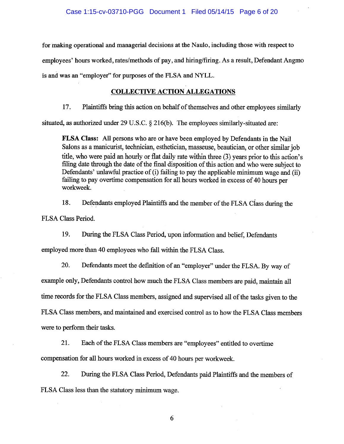for making operational and managerial decisions at the Naulo, including those with respect to employees' hours worked, rates/methods of pay, and hiring/firing. As a result, Defendant Angmo is and was an "employer" for purposes of the FLSA and NYLL.

# **COLLECTIVE ACTION ALLEGATIONS**

17. Plaintiffs bring this action on behalf of themselves and other employees similarly

situated, as authorized under 29 U.S.C. § 216(b). The employees similarly-situated are:

FLSA Class: All persons who are or have been employed by Defendants in the Nail Salons as a manicurist, technician, esthetician, masseuse, beautician, or other similar job title, who were paid an hourly or flat daily rate within three (3) years prior to this action's filing date through the date of the final disposition of this action and who were subject to Defendants' unlawful practice of (i) failing to pay the applicable minimum wage and (ii) failing to pay overtime compensation for all hours worked in excess of 40 hours per workweek.

18. Defendants employed Plaintiffs and the member of the FLSA Class during the FLSA Class Period.

19. During the FLSA Class Period, upon information and belief, Defendants employed more than 40 employees who fall within the FLSA Class.

20. Defendants meet the definition of an "employer" under the FLSA. By way of example only, Defendants control how much the FLSA Class members are paid, maintain all time records for the FLSA Class members, assigned and supervised all of the tasks given to the FLSA Class members, and maintained and exercised control as to how the FLSA Class members were to perform their tasks.

21. Each of the FLSA Class members are "employees" entitled to overtime compensation for all hours worked in excess of 40 hours per workweek.

22. During the FLSA Class Period, Defendants paid Plaintiffs and the members of FLSA Class less than the statutory minimum wage.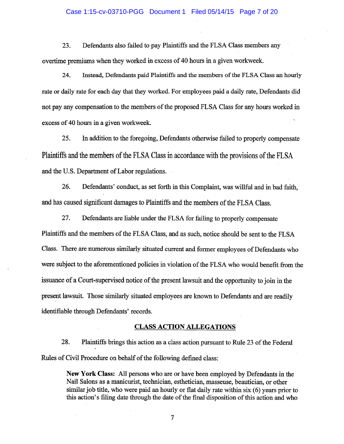#### Case 1:15-cv-03710-PGG Document 1 Filed 05/14/15 Page 7 of 20

23. Defendants also failed to pay Plaintiffs and the FLSA Class members any overtime premiums when they worked in excess of 40 hours in a given workweek.

24. Instead, Defendants paid Plaintiffs and the members of the FLSA Class an hourly rate or daily rate for each day that they worked. For employees paid a daily rate, Defendants did not pay any compensation to the members of the proposed FLSA Class for any hours worked in excess of 40 hours in a given workweek.

25. In addition to the foregoing, Defendants otherwise failed to properly compensate Plaintiffs and the members of the FLSA Class in accordance with the provisions of the FLSA and the U.S. Department of Labor regulations.

26. Defendants' conduct, as set forth in this Complaint, was willful and in bad faith, and has caused significant damages to Plaintiffs and the members of the FLSA Class.

27. Defendants are liable under the FLSA for failing to properly compensate Plaintiffs and the members of the FLSA Class, and as such, notice should be sent to the FLSA Class. There are numerous similarly situated current and former employees of Defendants who were subject to the aforementioned policies in violation of the FLSA who would benefit from the issuance of a Court-supervised notice of the present lawsuit and the opportunity to join in the present lawsuit. Those similarly situated employees are known to Defendants and are readily identifiable through Defendants' records.

### **CLASS ACTION ALLEGATIONS**

28. Plaintiffs brings this action as a class action pursuant to Rule 23 of the Federal. Rules of Civil Procedure on behalf of the following defined class:

> **New York Class:** All persons who are or have been employed by Defendants in the Nail Salons as a manicurist, technician, esthetician, masseuse, beautician, or other similar job title, who were paid an hourly or flat daily rate within six (6) years prior to this action's filing date through the date of the final disposition of this action and who

> > $\overline{7}$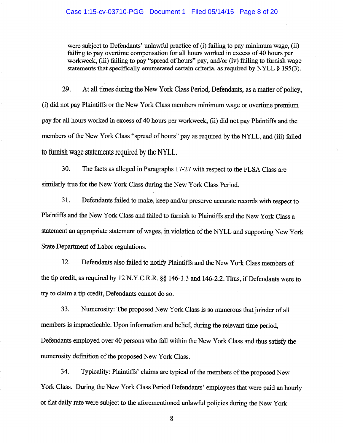were subject to Defendants' unlawful practice of (i) failing to pay minimum wage, (ii) failing to pay overtime compensation for all hours worked in excess of 40 hours per workweek, (iii) failing to pay "spread of hours" pay, and/or (iv) failing to furnish wage statements that specifically enumerated certain criteria, as required by NYLL § 195(3).

29. At all times during the New York Class Period, Defendants, as a matter of policy, (i) did not pay Plaintiffs or the New York Class members minimum wage or overtime premium pay for all hours worked in excess of 40 hours per workweek, (ii) did not pay Plaintiffs and the members of the New York Class "spread of hours" pay as required by the NYLL, and (iii) failed to furnish wage statements required by the NYLL.

30. The facts as alleged in Paragraphs 17-27 with respect to the FLSA Class are similarly true for the New York Class during the New York Class Period.

31. Defendants failed to make, keep and/or preserve accurate records with respect to Plaintiffs and the New York Class and failed to furnish to Plaintiffs and the New York Class a statement an appropriate statement of wages, in violation of the NYLL and supporting New York State Department of Labor regulations.

 $32.$ Defendants also failed to notify Plaintiffs and the New York Class members of the tip credit, as required by 12 N.Y.C.R.R. §§ 146-1.3 and 146-2.2. Thus, if Defendants were to try to claim a tip credit, Defendants cannot do so.

33. Numerosity: The proposed New York Class is so numerous that joinder of all members is impracticable. Upon information and belief, during the relevant time period, Defendants employed over 40 persons who fall within the New York Class and thus satisfy the numerosity definition of the proposed New York Class.

34. Typicality: Plaintiffs' claims are typical of the members of the proposed New York Class. During the New York Class Period Defendants' employees that were paid an hourly or flat daily rate were subject to the aforementioned unlawful policies during the New York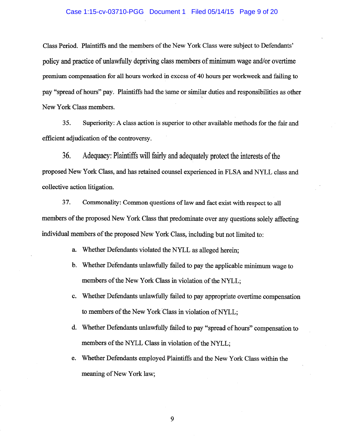#### Case 1:15-cv-03710-PGG Document 1 Filed 05/14/15 Page 9 of 20

Class Period. Plaintiffs and the members of the New York Class were subject to Defendants' policy and practice of unlawfully depriving class members of minimum wage and/or overtime premium compensation for all hours worked in excess of 40 hours per workweek and failing to pay "spread of hours" pay. Plaintiffs had the same or similar duties and responsibilities as other New York Class members.

Superiority: A class action is superior to other available methods for the fair and 35. efficient adjudication of the controversy.

Adequacy: Plaintiffs will fairly and adequately protect the interests of the 36. proposed New York Class, and has retained counsel experienced in FLSA and NYLL class and collective action litigation.

37. Commonality: Common questions of law and fact exist with respect to all members of the proposed New York Class that predominate over any questions solely affecting individual members of the proposed New York Class, including but not limited to:

- Whether Defendants violated the NYLL as alleged herein; a.
- b. Whether Defendants unlawfully failed to pay the applicable minimum wage to members of the New York Class in violation of the NYLL;
- c. Whether Defendants unlawfully failed to pay appropriate overtime compensation to members of the New York Class in violation of NYLL;
- d. Whether Defendants unlawfully failed to pay "spread of hours" compensation to members of the NYLL Class in violation of the NYLL;
- Whether Defendants employed Plaintiffs and the New York Class within the e. meaning of New York law;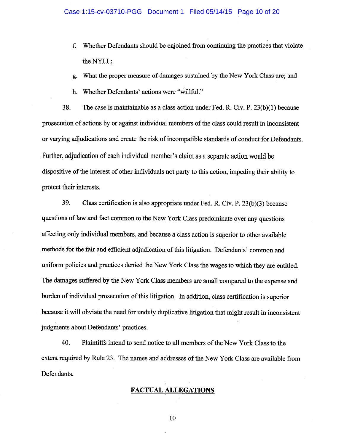- Whether Defendants should be enjoined from continuing the practices that violate  $f<sub>r</sub>$ the NYLL;
- What the proper measure of damages sustained by the New York Class are; and g.
- h. Whether Defendants' actions were "willful."

38. The case is maintainable as a class action under Fed. R. Civ.  $P. 23(b)(1)$  because prosecution of actions by or against individual members of the class could result in inconsistent or varying adjudications and create the risk of incompatible standards of conduct for Defendants. Further, adjudication of each individual member's claim as a separate action would be dispositive of the interest of other individuals not party to this action, impeding their ability to protect their interests.

39. Class certification is also appropriate under Fed. R. Civ. P. 23(b)(3) because questions of law and fact common to the New York Class predominate over any questions affecting only individual members, and because a class action is superior to other available methods for the fair and efficient adjudication of this litigation. Defendants' common and uniform policies and practices denied the New York Class the wages to which they are entitled. The damages suffered by the New York Class members are small compared to the expense and burden of individual prosecution of this litigation. In addition, class certification is superior because it will obviate the need for unduly duplicative litigation that might result in inconsistent judgments about Defendants' practices.

40. Plaintiffs intend to send notice to all members of the New York Class to the extent required by Rule 23. The names and addresses of the New York Class are available from Defendants.

## **FACTUAL ALLEGATIONS**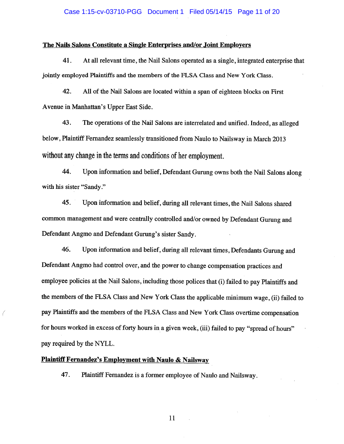#### Case 1:15-cv-03710-PGG Document 1 Filed 05/14/15 Page 11 of 20

### The Nails Salons Constitute a Single Enterprises and/or Joint Employers

41. At all relevant time, the Nail Salons operated as a single, integrated enterprise that jointly employed Plaintiffs and the members of the FLSA Class and New York Class.

42. All of the Nail Salons are located within a span of eighteen blocks on First Avenue in Manhattan's Upper East Side.

43. The operations of the Nail Salons are interrelated and unified. Indeed, as alleged below, Plaintiff Fernandez seamlessly transitioned from Naulo to Nailsway in March 2013 without any change in the terms and conditions of her employment.

44. Upon information and belief, Defendant Gurung owns both the Nail Salons along with his sister "Sandy."

45. Upon information and belief, during all relevant times, the Nail Salons shared common management and were centrally controlled and/or owned by Defendant Gurung and Defendant Angmo and Defendant Gurung's sister Sandy.

46. Upon information and belief, during all relevant times, Defendants Gurung and Defendant Angmo had control over, and the power to change compensation practices and employee policies at the Nail Salons, including those polices that (i) failed to pay Plaintiffs and the members of the FLSA Class and New York Class the applicable minimum wage, (ii) failed to pay Plaintiffs and the members of the FLSA Class and New York Class overtime compensation for hours worked in excess of forty hours in a given week, (iii) failed to pay "spread of hours" pay required by the NYLL.

## **Plaintiff Fernandez's Employment with Naulo & Nailsway**

47. Plaintiff Fernandez is a former employee of Naulo and Nailsway.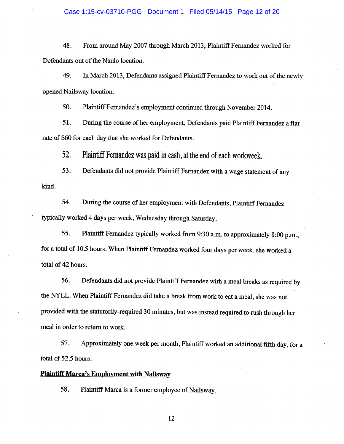48. From around May 2007 through March 2013, Plaintiff Fernandez worked for Defendants out of the Naulo location.

49. In March 2013, Defendants assigned Plaintiff Fernandez to work out of the newly opened Nailsway location.

50. Plaintiff Fernandez's employment continued through November 2014.

51. During the course of her employment, Defendants paid Plaintiff Fernandez a flat rate of \$60 for each day that she worked for Defendants.

52. Plaintiff Fernandez was paid in cash, at the end of each workweek.

53. Defendants did not provide Plaintiff Fernandez with a wage statement of any kind.

54. During the course of her employment with Defendants, Plaintiff Fernandez typically worked 4 days per week, Wednesday through Saturday.

55. Plaintiff Fernandez typically worked from 9:30 a.m. to approximately 8:00 p.m., for a total of 10.5 hours. When Plaintiff Fernandez worked four days per week, she worked a total of 42 hours.

Defendants did not provide Plaintiff Fernandez with a meal breaks as required by 56. the NYLL. When Plaintiff Fernandez did take a break from work to eat a meal, she was not provided with the statutorily-required 30 minutes, but was instead required to rush through her meal in order to return to work.

57. Approximately one week per month, Plaintiff worked an additional fifth day, for a total of 52.5 hours.

### **Plaintiff Marca's Employment with Nailsway**

58. Plaintiff Marca is a former employee of Nailsway.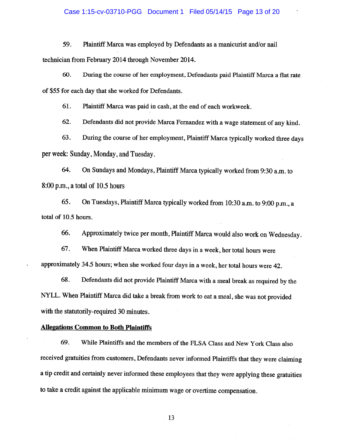#### Case 1:15-cv-03710-PGG Document 1 Filed 05/14/15 Page 13 of 20

59. Plaintiff Marca was employed by Defendants as a manicurist and/or nail technician from February 2014 through November 2014.

60. During the course of her employment, Defendants paid Plaintiff Marca a flat rate of \$55 for each day that she worked for Defendants.

61. Plaintiff Marca was paid in cash, at the end of each workweek.

Defendants did not provide Marca Fernandez with a wage statement of any kind. 62.

63. During the course of her employment, Plaintiff Marca typically worked three days per week: Sunday, Monday, and Tuesday.

64. On Sundays and Mondays, Plaintiff Marca typically worked from 9:30 a.m. to  $8:00$  p.m., a total of 10.5 hours

65. On Tuesdays, Plaintiff Marca typically worked from 10:30 a.m. to 9:00 p.m., a total of 10.5 hours.

66. Approximately twice per month, Plaintiff Marca would also work on Wednesday.

67. When Plaintiff Marca worked three days in a week, her total hours were approximately 34.5 hours; when she worked four days in a week, her total hours were 42.

68. Defendants did not provide Plaintiff Marca with a meal break as required by the NYLL. When Plaintiff Marca did take a break from work to eat a meal, she was not provided with the statutorily-required 30 minutes.

## **Allegations Common to Both Plaintiffs**

69. While Plaintiffs and the members of the FLSA Class and New York Class also received gratuities from customers, Defendants never informed Plaintiffs that they were claiming a tip credit and certainly never informed these employees that they were applying these gratuities to take a credit against the applicable minimum wage or overtime compensation.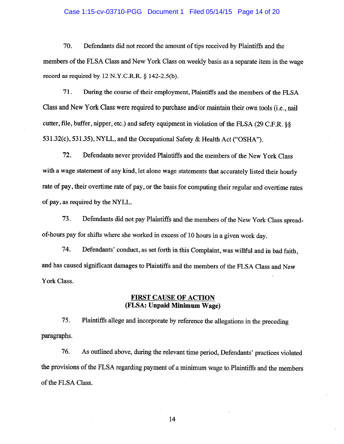### Case 1:15-cv-03710-PGG Document 1 Filed 05/14/15 Page 14 of 20

Defendants did not record the amount of tips received by Plaintiffs and the 70. members of the FLSA Class and New York Class on weekly basis as a separate item in the wage record as required by 12 N.Y.C.R.R. § 142-2.5(b).

71. During the course of their employment, Plaintiffs and the members of the FLSA Class and New York Class were required to purchase and/or maintain their own tools (i.e., nail cutter, file, buffer, nipper, etc.) and safety equipment in violation of the FLSA (29 C.F.R. §§ 531.32(c), 531.35), NYLL, and the Occupational Safety & Health Act ("OSHA").

 $72.$ Defendants never provided Plaintiffs and the members of the New York Class with a wage statement of any kind, let alone wage statements that accurately listed their hourly rate of pay, their overtime rate of pay, or the basis for computing their regular and overtime rates of pay, as required by the NYLL.

Defendants did not pay Plaintiffs and the members of the New York Class spread-73. of-hours pay for shifts where she worked in excess of 10 hours in a given work day.

74. Defendants' conduct, as set forth in this Complaint, was willful and in bad faith, and has caused significant damages to Plaintiffs and the members of the FLSA Class and New York Class.

## **FIRST CAUSE OF ACTION** (FLSA: Unpaid Minimum Wage)

75. Plaintiffs allege and incorporate by reference the allegations in the preceding paragraphs.

76. As outlined above, during the relevant time period, Defendants' practices violated the provisions of the FLSA regarding payment of a minimum wage to Plaintiffs and the members of the FLSA Class.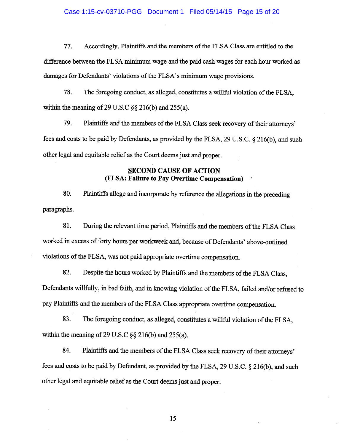#### Case 1:15-cv-03710-PGG Document 1 Filed 05/14/15 Page 15 of 20

77. Accordingly, Plaintiffs and the members of the FLSA Class are entitled to the difference between the FLSA minimum wage and the paid cash wages for each hour worked as damages for Defendants' violations of the FLSA's minimum wage provisions.

78. The foregoing conduct, as alleged, constitutes a willful violation of the FLSA, within the meaning of 29 U.S.C  $\S$  216(b) and 255(a).

79. Plaintiffs and the members of the FLSA Class seek recovery of their attorneys' fees and costs to be paid by Defendants, as provided by the FLSA, 29 U.S.C. § 216(b), and such other legal and equitable relief as the Court deems just and proper.

# **SECOND CAUSE OF ACTION** (FLSA: Failure to Pay Overtime Compensation)

80. Plaintiffs allege and incorporate by reference the allegations in the preceding paragraphs.

81. During the relevant time period, Plaintiffs and the members of the FLSA Class worked in excess of forty hours per workweek and, because of Defendants' above-outlined violations of the FLSA, was not paid appropriate overtime compensation.

82. Despite the hours worked by Plaintiffs and the members of the FLSA Class, Defendants willfully, in bad faith, and in knowing violation of the FLSA, failed and/or refused to pay Plaintiffs and the members of the FLSA Class appropriate overtime compensation.

83. The foregoing conduct, as alleged, constitutes a willful violation of the FLSA. within the meaning of 29 U.S.C  $\S$  216(b) and 255(a).

84. Plaintiffs and the members of the FLSA Class seek recovery of their attorneys' fees and costs to be paid by Defendant, as provided by the FLSA, 29 U.S.C. § 216(b), and such other legal and equitable relief as the Court deems just and proper.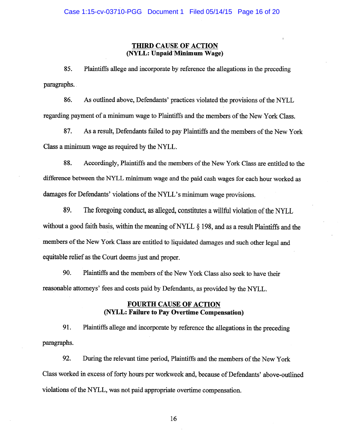## **THIRD CAUSE OF ACTION** (NYLL: Unpaid Minimum Wage)

85. Plaintiffs allege and incorporate by reference the allegations in the preceding paragraphs.

86. As outlined above, Defendants' practices violated the provisions of the NYLL regarding payment of a minimum wage to Plaintiffs and the members of the New York Class.

87. As a result, Defendants failed to pay Plaintiffs and the members of the New York Class a minimum wage as required by the NYLL.

88. Accordingly, Plaintiffs and the members of the New York Class are entitled to the difference between the NYLL minimum wage and the paid cash wages for each hour worked as damages for Defendants' violations of the NYLL's minimum wage provisions.

89. The foregoing conduct, as alleged, constitutes a willful violation of the NYLL without a good faith basis, within the meaning of NYLL § 198, and as a result Plaintiffs and the members of the New York Class are entitled to liquidated damages and such other legal and equitable relief as the Court deems just and proper.

90. Plaintiffs and the members of the New York Class also seek to have their reasonable attorneys' fees and costs paid by Defendants, as provided by the NYLL.

# **FOURTH CAUSE OF ACTION** (NYLL: Failure to Pay Overtime Compensation)

91. Plaintiffs allege and incorporate by reference the allegations in the preceding paragraphs.

92. During the relevant time period, Plaintiffs and the members of the New York Class worked in excess of forty hours per workweek and, because of Defendants' above-outlined violations of the NYLL, was not paid appropriate overtime compensation.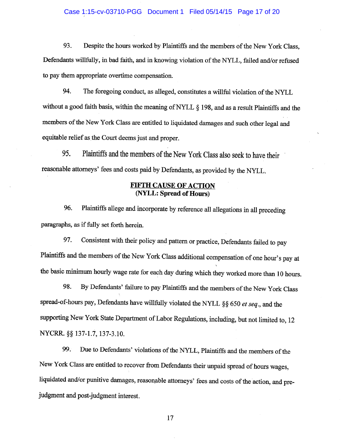### Case 1:15-cv-03710-PGG Document 1 Filed 05/14/15 Page 17 of 20

Despite the hours worked by Plaintiffs and the members of the New York Class, 93. Defendants willfully, in bad faith, and in knowing violation of the NYLL, failed and/or refused to pay them appropriate overtime compensation.

94. The foregoing conduct, as alleged, constitutes a willful violation of the NYLL without a good faith basis, within the meaning of NYLL  $\S$  198, and as a result Plaintiffs and the members of the New York Class are entitled to liquidated damages and such other legal and equitable relief as the Court deems just and proper.

95. Plaintiffs and the members of the New York Class also seek to have their reasonable attorneys' fees and costs paid by Defendants, as provided by the NYLL.

# **FIFTH CAUSE OF ACTION** (NYLL: Spread of Hours)

Plaintiffs allege and incorporate by reference all allegations in all preceding 96. paragraphs, as if fully set forth herein.

Consistent with their policy and pattern or practice, Defendants failed to pay 97. Plaintiffs and the members of the New York Class additional compensation of one hour's pay at the basic minimum hourly wage rate for each day during which they worked more than 10 hours.

98. By Defendants' failure to pay Plaintiffs and the members of the New York Class spread-of-hours pay, Defendants have willfully violated the NYLL  $\S$ § 650 et seq., and the supporting New York State Department of Labor Regulations, including, but not limited to, 12 NYCRR. §§ 137-1.7, 137-3.10.

Due to Defendants' violations of the NYLL, Plaintiffs and the members of the 99. New York Class are entitled to recover from Defendants their unpaid spread of hours wages, liquidated and/or punitive damages, reasonable attorneys' fees and costs of the action, and prejudgment and post-judgment interest.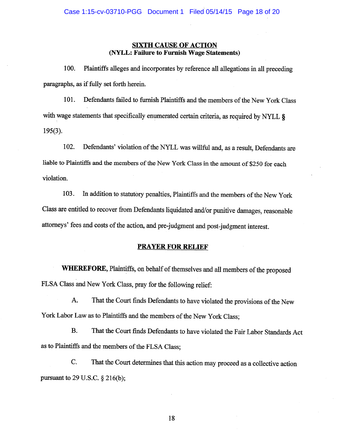# **SIXTH CAUSE OF ACTION** (NYLL: Failure to Furnish Wage Statements)

100. Plaintiffs alleges and incorporates by reference all allegations in all preceding paragraphs, as if fully set forth herein.

Defendants failed to furnish Plaintiffs and the members of the New York Class 101. with wage statements that specifically enumerated certain criteria, as required by NYLL §  $195(3)$ .

Defendants' violation of the NYLL was willful and, as a result, Defendants are 102. liable to Plaintiffs and the members of the New York Class in the amount of \$250 for each violation.

103. In addition to statutory penalties, Plaintiffs and the members of the New York Class are entitled to recover from Defendants liquidated and/or punitive damages, reasonable attorneys' fees and costs of the action, and pre-judgment and post-judgment interest.

# **PRAYER FOR RELIEF**

WHEREFORE, Plaintiffs, on behalf of themselves and all members of the proposed FLSA Class and New York Class, pray for the following relief:

That the Court finds Defendants to have violated the provisions of the New A. York Labor Law as to Plaintiffs and the members of the New York Class;

**B.** That the Court finds Defendants to have violated the Fair Labor Standards Act as to Plaintiffs and the members of the FLSA Class;

That the Court determines that this action may proceed as a collective action  $C_{\cdot}$ pursuant to 29 U.S.C.  $\S$  216(b);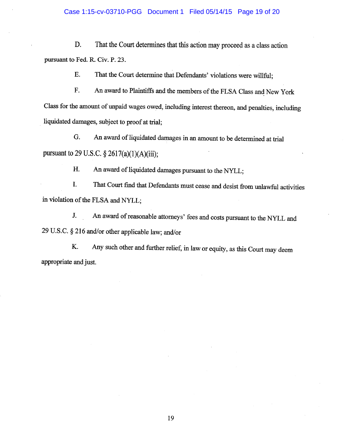D. That the Court determines that this action may proceed as a class action pursuant to Fed. R. Civ. P. 23.

> E. That the Court determine that Defendants' violations were willful;

F. An award to Plaintiffs and the members of the FLSA Class and New York Class for the amount of unpaid wages owed, including interest thereon, and penalties, including liquidated damages, subject to proof at trial;

An award of liquidated damages in an amount to be determined at trial G. pursuant to 29 U.S.C.  $\S 2617(a)(1)(A)(iii)$ ;

> An award of liquidated damages pursuant to the NYLL; Η.

That Court find that Defendants must cease and desist from unlawful activities I. in violation of the FLSA and NYLL;

An award of reasonable attorneys' fees and costs pursuant to the NYLL and J. 29 U.S.C. § 216 and/or other applicable law; and/or

Any such other and further relief, in law or equity, as this Court may deem K. appropriate and just.